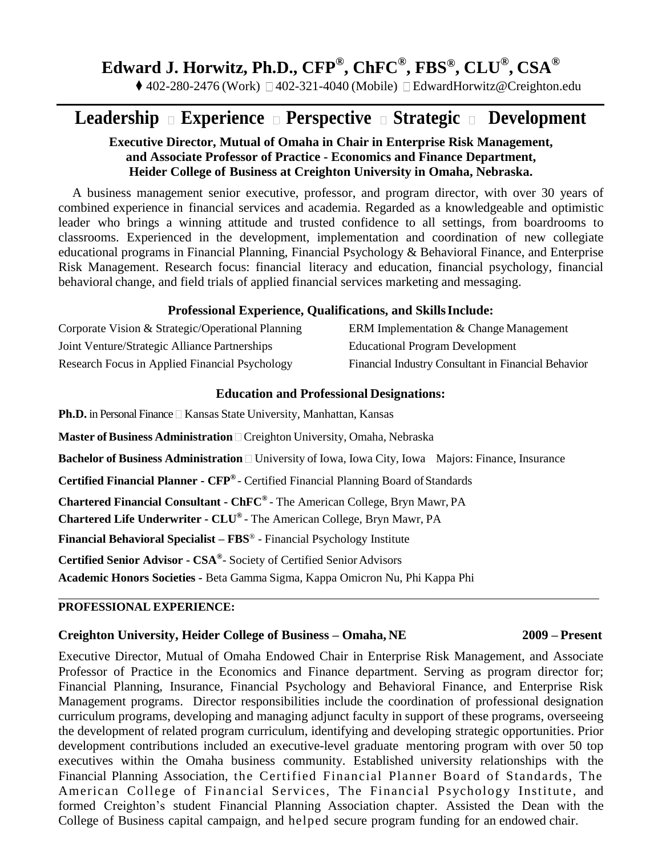# **Edward J. Horwitz, Ph.D., CFP® , ChFC® , FBS® , CLU® , CSA®**

◆ 402-280-2476 (Work)  $\Box$  402-321-4040 (Mobile)  $\Box$  [EdwardHorwitz@Creighton.edu](mailto:EdwardHorwitz@Creighton.edu)

## Leadership Experience **Perspective Strategic Development**

#### **Executive Director, Mutual of Omaha in Chair in Enterprise Risk Management, and Associate Professor of Practice - Economics and Finance Department, Heider College of Business at Creighton University in Omaha, Nebraska.**

A business management senior executive, professor, and program director, with over 30 years of combined experience in financial services and academia. Regarded as a knowledgeable and optimistic leader who brings a winning attitude and trusted confidence to all settings, from boardrooms to classrooms. Experienced in the development, implementation and coordination of new collegiate educational programs in Financial Planning, Financial Psychology & Behavioral Finance, and Enterprise Risk Management. Research focus: financial literacy and education, financial psychology, financial behavioral change, and field trials of applied financial services marketing and messaging.

#### **Professional Experience, Qualifications, and SkillsInclude:**

| Corporate Vision & Strategic/Operational Planning | ERM Implementation & Change Management              |
|---------------------------------------------------|-----------------------------------------------------|
| Joint Venture/Strategic Alliance Partnerships     | <b>Educational Program Development</b>              |
| Research Focus in Applied Financial Psychology    | Financial Industry Consultant in Financial Behavior |

#### **Education and Professional Designations:**

**Ph.D.** in Personal Finance **Kansas State University**, Manhattan, Kansas

**Master of Business Administration** Creighton University, Omaha, Nebraska

**Bachelor of Business Administration** □ University of Iowa, Iowa City, Iowa Majors: Finance, Insurance

**Certified Financial Planner - CFP®**  - Certified Financial Planning Board ofStandards

**Chartered Financial Consultant - ChFC®**  - The American College, Bryn Mawr, PA

**Chartered Life Underwriter - CLU®**  - The American College, Bryn Mawr, PA

**Financial Behavioral Specialist – FBS**® - Financial Psychology Institute

**Certified Senior Advisor - CSA®** - Society of Certified Senior Advisors

**Academic Honors Societies -** Beta Gamma Sigma, Kappa Omicron Nu, Phi Kappa Phi

#### **PROFESSIONAL EXPERIENCE:**

#### **Creighton University, Heider College of Business – Omaha, NE 2009 – Present**

Executive Director, Mutual of Omaha Endowed Chair in Enterprise Risk Management, and Associate Professor of Practice in the Economics and Finance department. Serving as program director for; Financial Planning, Insurance, Financial Psychology and Behavioral Finance, and Enterprise Risk Management programs. Director responsibilities include the coordination of professional designation curriculum programs, developing and managing adjunct faculty in support of these programs, overseeing the development of related program curriculum, identifying and developing strategic opportunities. Prior development contributions included an executive-level graduate mentoring program with over 50 top executives within the Omaha business community. Established university relationships with the Financial Planning Association, the Certified Financial Planner Board of Standards, The American College of Financial Services, The Financial Psychology Institute, and formed Creighton's student Financial Planning Association chapter. Assisted the Dean with the College of Business capital campaign, and helped secure program funding for an endowed chair.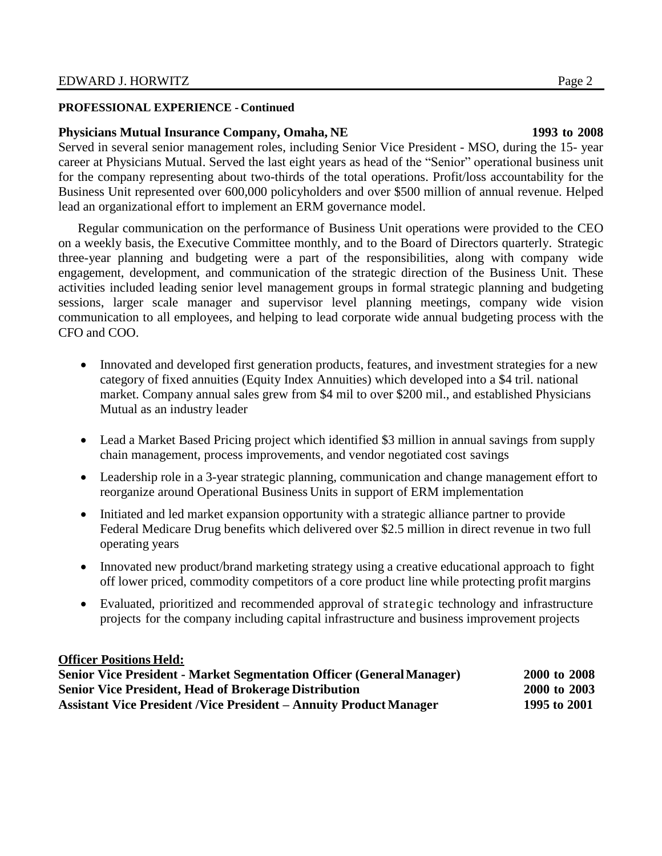#### **PROFESSIONAL EXPERIENCE - Continued**

#### **Physicians Mutual Insurance Company, Omaha, NE 1993 to 2008**

Served in several senior management roles, including Senior Vice President - MSO, during the 15- year career at Physicians Mutual. Served the last eight years as head of the "Senior" operational business unit for the company representing about two-thirds of the total operations. Profit/loss accountability for the Business Unit represented over 600,000 policyholders and over \$500 million of annual revenue. Helped lead an organizational effort to implement an ERM governance model.

Regular communication on the performance of Business Unit operations were provided to the CEO on a weekly basis, the Executive Committee monthly, and to the Board of Directors quarterly. Strategic three-year planning and budgeting were a part of the responsibilities, along with company wide engagement, development, and communication of the strategic direction of the Business Unit. These activities included leading senior level management groups in formal strategic planning and budgeting sessions, larger scale manager and supervisor level planning meetings, company wide vision communication to all employees, and helping to lead corporate wide annual budgeting process with the CFO and COO.

- Innovated and developed first generation products, features, and investment strategies for a new category of fixed annuities (Equity Index Annuities) which developed into a \$4 tril. national market. Company annual sales grew from \$4 mil to over \$200 mil., and established Physicians Mutual as an industry leader
- Lead a Market Based Pricing project which identified \$3 million in annual savings from supply chain management, process improvements, and vendor negotiated cost savings
- Leadership role in a 3-year strategic planning, communication and change management effort to reorganize around Operational Business Units in support of ERM implementation
- Initiated and led market expansion opportunity with a strategic alliance partner to provide Federal Medicare Drug benefits which delivered over \$2.5 million in direct revenue in two full operating years
- Innovated new product/brand marketing strategy using a creative educational approach to fight off lower priced, commodity competitors of a core product line while protecting profit margins
- Evaluated, prioritized and recommended approval of strategic technology and infrastructure projects for the company including capital infrastructure and business improvement projects

#### **Officer Positions Held:**

| Senior Vice President - Market Segmentation Officer (General Manager)     | 2000 to 2008 |
|---------------------------------------------------------------------------|--------------|
| <b>Senior Vice President, Head of Brokerage Distribution</b>              | 2000 to 2003 |
| <b>Assistant Vice President /Vice President – Annuity Product Manager</b> | 1995 to 2001 |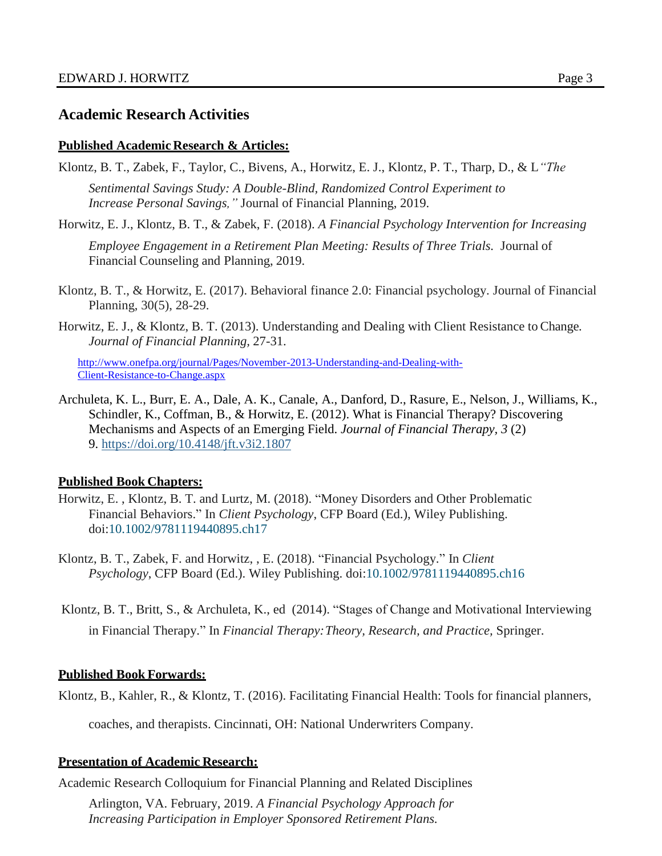### **Academic Research Activities**

#### **Published Academic Research & Articles:**

- Klontz, B. T., Zabek, F., Taylor, C., Bivens, A., Horwitz, E. J., Klontz, P. T., Tharp, D., & L*"The Sentimental Savings Study: A Double-Blind, Randomized Control Experiment to Increase Personal Savings,"* Journal of Financial Planning, 2019.
- Horwitz, E. J., Klontz, B. T., & Zabek, F. (2018). *A Financial Psychology Intervention for Increasing Employee Engagement in a Retirement Plan Meeting: Results of Three Trials.* Journal of

Financial Counseling and Planning, 2019.

- Klontz, B. T., & Horwitz, E. (2017). Behavioral finance 2.0: Financial psychology. Journal of Financial Planning, 30(5), 28-29.
- Horwitz, E. J., & Klontz, B. T. (2013). Understanding and Dealing with Client Resistance to Change*. Journal of Financial Planning,* 27-31.

[http://www.onefpa.org/journal/Pages/November-2013-Understanding-and-Dealing-with-](http://www.onefpa.org/journal/Pages/November-2013-Understanding-and-Dealing-with-Client-Resistance-to-Change.aspx)[Client-Resistance-to-Change.aspx](http://www.onefpa.org/journal/Pages/November-2013-Understanding-and-Dealing-with-Client-Resistance-to-Change.aspx)

Archuleta, K. L., Burr, E. A., Dale, A. K., Canale, A., Danford, D., Rasure, E., Nelson, J., Williams, K., Schindler, K., Coffman, B., & Horwitz, E. (2012). What is Financial Therapy? Discovering Mechanisms and Aspects of an Emerging Field. *Journal of Financial Therapy, 3* (2) 9. <https://doi.org/10.4148/jft.v3i2.1807>

### **Published Book Chapters:**

- Horwitz, E. , Klontz, B. T. and Lurtz, M. (2018). "Money Disorders and Other Problematic Financial Behaviors." In *Client Psychology*, CFP Board (Ed.), Wiley Publishing. doi[:10.1002/9781119440895.ch17](https://doi-org.cuhsl.creighton.edu/10.1002/9781119440895.ch17)
- Klontz, B. T., Zabek, F. and Horwitz, , E. (2018). "Financial Psychology." In *Client Psychology*, CFP Board (Ed.). Wiley Publishing. doi[:10.1002/9781119440895.ch16](https://doi-org.cuhsl.creighton.edu/10.1002/9781119440895.ch16)
- Klontz, B. T., Britt, S., & Archuleta, K., ed (2014). "Stages of Change and Motivational Interviewing in Financial Therapy." In *Financial Therapy:Theory, Research, and Practice,* Springer.

### **Published Book Forwards:**

Klontz, B., Kahler, R., & Klontz, T. (2016). Facilitating Financial Health: Tools for financial planners,

coaches, and therapists. Cincinnati, OH: National Underwriters Company.

#### **Presentation of Academic Research:**

Academic Research Colloquium for Financial Planning and Related Disciplines

Arlington, VA. February, 2019. *A Financial Psychology Approach for Increasing Participation in Employer Sponsored Retirement Plans.*